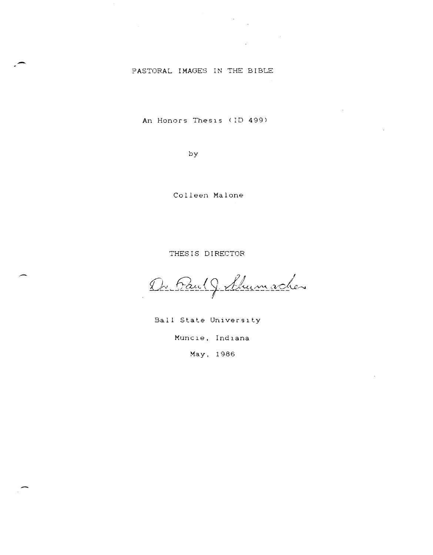# ?ASTORAL IMAGES IN THE BIBLE

-

-

.-

An Honors TheSIS (ID 499)

by

Colleen Malone

THESIS DIRECTOR

Dr. Paul J. Shumacher

Ball State University

Muncie, Indiana

May, 1986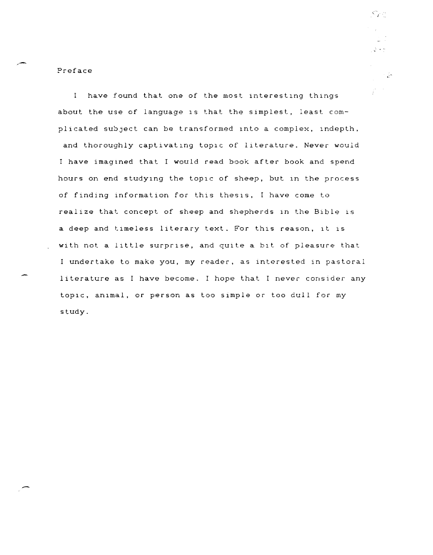Preface

I have found that one of the most interesting things about the use of language IS that the sImplest, least complicated subject can be transformed into a complex, indepth, and thoroughly captivating topic of literature. Never would I have imagined that I would read book after book and spend hours on end studying the topic of sheep, but in the process of finding information for this thesis, I have come to realize that concept of sheep and shepherds In the Bible IS a deep and timeless literary text. For this reason, it is with not a little surprise, and quite a bit of pleasure that <sup>I</sup>undertake to make you, my reader, as interested in pastoral literature as I have become. I hope that I never consider any topic, animal, or person as too simple or too dull for my study.

الواجبة في  $\sim \frac{1}{2\pi}$  $\tilde{T}^{(1,2)}$ 

 $\leq_{\mathcal{C}}$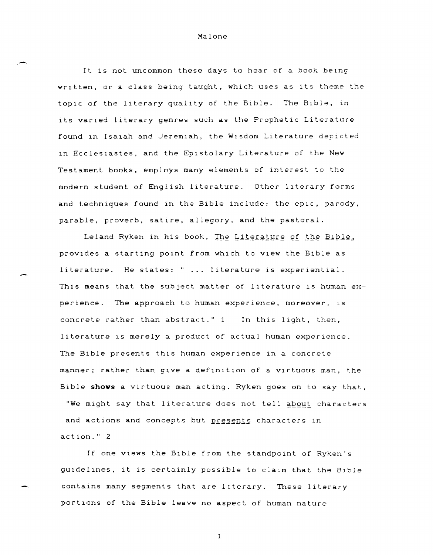# Xalone

It is not uncommon these days to hear of a book being written, or a class being taught, which uses as its theme the topic of the literary quality of the Bible. The Bible, in its varied literary genres such as the Prophetic Literature found in Isaiah and Jeremiah, the Wisdom Literature depicted in Ecclesiastes, and the Epistolary Literature of the New Testament books, employs many elements of Interest to the modern student of EnglIsh lIterature. Other lIterary forms and techniques found in the Bible include: the epic, parody, parable, proverb, satire, allegory, and the pastoral.

Leland Ryken in his book, The Literature of the Bible, provides a starting point from which to view the Bible as literature. He states: " ... literature is experiential. This means that the subject matter of literature is human experience. The approach to human experience, moreover, is concrete rather than abstract." 1 In this light, then, literature is merely a product of actual human experience. The Bible presents this human experience in a concrete manner; rather than give a definition of a virtuous man, the Bible **shows** a vIrtuous man acting. Ryken goes on to say that, "We might say that literature does not tell about characters and actions and concepts but presents characters in action." 2

If one views the Bible from the standpoint of Ryken's guidelines, it is certainly possible to claim that the Bible contains many segments that are literary. These literary portIons of the Bible leave no aspect of human nature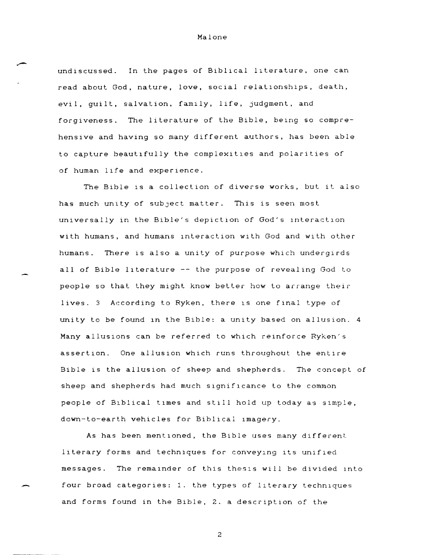undiscussed. In the pages of Biblical literature, one can read about God, nature, love, social relationships, death, evil, quilt, salvation, family, life, judgment, and forgiveness. The literature of the Bible, being so comprehensive and having so many different authors, has been able to capture beautifully the complexities and polarities of of human life and experience.

The Bible is a collection of diverse works, but it also has much unity of subject matter. This is seen most universally in the Bible's depiction of God's interaction with humans, and humans lnteraction with God and with other humans. There is also a unity of purpose which undergirds all of Bible lIterature -- the purpose of revealing God to people so that they might know better how to arrange their lives. 3 According to Ryken, there is one final type of unity to be found In the Bible: a unity based on allusion. 4 Many allusions can be referred to which reinforce Ryken's assertion. One allusion WhICh runs throughout the entire Bible is the allusion of sheep and shepherds. The concept of sheep and shepherds had much significance to the common people of BIblical tImes and stIll hold up today as SImple, down-to-earth vehicles for Biblical imagery.

As has been mentioned, the Bible uses many different literary forms and techniques for conveying its unified messages. The remainder of this thesis will be divided into four broad categories: 1. the types of literary techniques and forms found in the Bible, 2. a description of the

-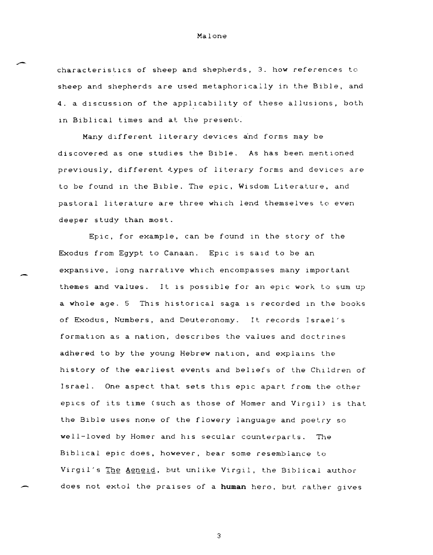# characteristlcs of sheep and shepherds, 3. how references to sheep and shepherds are used metaphorically in the Bible, and 4. a discussion of the applicability of these allusions, both in Biblical times and at the present.

Malone

Many different literary devices and forms may be discovered as one studies the Bible. As has been mentioned previously, different types of literary forms and devices are to be found in the Bible. The epic, Wisdom Literature, and pastoral literature are three which lend themselves to even deeper study than most.

-

-

Epic, for example, can be found in the story of the Exodus from Egypt to Canaan. Epic is said to be an expansive, long narratlve whlch encompasses many lmportant themes and values. It is possible for an epic work to sum up a whole age. 5 This historical saga is recorded in the books of Exodus, Numbers, and Deuteronomy. It records Israel's formation as a nation, describes the values and doctrines adhered to by the young Hebrew nation, and explains the history of the earliest events and beliefs of the Children of Israel. One aspect that sets this epic apart from the other eplcs of its tlme (such as those of Homer and Virgil) is that the Bible uses none of the flowery language and poetry so well-loved by Homer and his secular counterparts. The Biblical epic does, however, bear some resemblance to Virgil's The Aeneid, but unlike Virgil, the Biblical author does not ext.ol the pralses of a **human** hero, but rather gives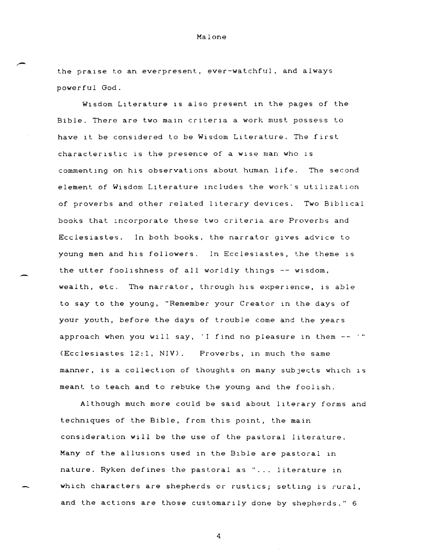the praise to an everpresent, ever-watchful, and always powerful God.

Malone

Wisdom Literature is also present in the pages of the Bible. There are two main criteria a work must possess to have it be considered to be Wisdom LIterature. The first characteristic is the presence of a wise man who is commenting on his observations about human life. The second element of Wisdom Literature includes the work's utilization of proverbs and other related literary devices. Two Biblical books that :ncorporate these two criteria are Proverbs and Ecclesiastes. In both books, the narrator gives advice to young men and his followers. In Ecclesiastes, the theme is the utter foolishness of all worldly things -- wisdom, wealth, etc. The narrator, through his experience, is able to say to the young, "Remember your Creator in the days of your youth, before the days of trouble come and the years approach when you will say, 'I find no pleasure in them  $--$ '" (Ecclesiastes 12:1, NIV). Proverbs, in much the same manner, is a collection of thoughts on many subjects which is meant to teach and to rebuke the young and the foolish.

-

Although much more could be said about literary forms and techniques of the Bible, from this point, the main consideration will be the use of the pastoral literature. Many of the allUSIons used in the BIble are pastoral In nature. Ryken defines the pastoral as "... literature in which characters are shepherds or rustics; setting is rural, and the actions are those customarily done by shepherds." 6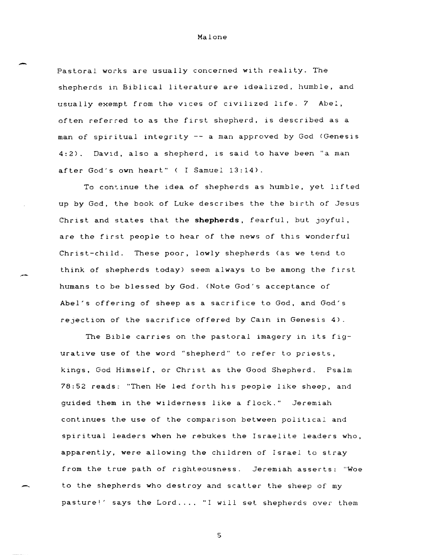-

,-

-

Pastoral works are usually concerned with reality. The shepherds in Biblical literature are idealized, humble, and usually exempt from the Vlces of civilized life. 7 Abe!, often referred to as the first shepherd, is described as a man of spiritual integrity -- a man approved by God (Genesis  $4:2$ ). David, also a shepherd, is said to have been "a man after God's own heart" ( I Samuel 13:14).

To continue the idea of shepherds as humble, yet lifted up by God, the book of Luke describes the the birth of Jesus Christ and states that the **shepherds,** fearful, but Joyful, are the first people to hear of the news of this wonderful Christ-child. These poor, lowly shepherds (as we tend to think of shepherds today) seem always to be among the first humans to be blessed by God. (Note God's acceptance of Abel's offering of sheep as a sacrifice to God, and God's rejection of the sacrifice offered by Cain in Genesis 4).

The Bible carries on the pastoral imagery in its figurative use of the word "shepherd" to refer to priests, kings, God Himself, or Christ as the Good Shepherd. Psalm 78:52 reads:: "Then He led forth his people like sheep, and guided them in the wilderness like a flock." Jeremiah continues the use of the comparison between political and spiritual leaders when he rebukes the Israelite leaders who, apparently, were allowing the children of Israel to stray from the true path of righteousness. Jeremiah asserts: "Woe to the shepherds who destroy and scatter the sheep of my pasture!' says the Lord.... "I will set shepherds over them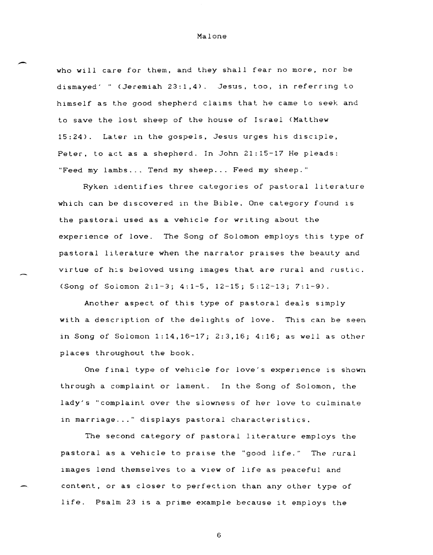-

who will care for them, and they shall fear no more, nor be dismayed' (Jeremiah 23:1,4). Jesus, too, in referring to himself as the good shepherd claIms that he came to seek and to save the lost sheep of the house of Israel (Matthew 15:24). Later in the gospels, Jesus urges his disciple, Peter, to act as a shepherd. In John 21:15-17 He pleads: "Feed my lambs ... Tend my sheep ... Feed my sheep."

Ryken ldentifies three categories of pastoral literature which can be discovered in the Bible. One category found is the pastoral used as a vehicle for writing about the experience of love. The Song of Solomon employs this type of pastoral literature when the narrator praises the beauty and virtue of his beloved using images that are rural and rustic. (Song of Solomon 2:1-3; 4:1-5, 12-15; 5:12-13; 7:1-9).

Another aspect of this type of pastoral deals simply with a description of the delights of love. This can be seen in Song of Solomon 1:14,16-17; 2:3,16; 4:16; as well as other places throughout the book.

One final type of vehicle for love's experience is shown through a complaint or lament. In the Song of Solomon, the lady's "complaint over the slowness of her love to culminate in marriage..." displays pastoral characteristics.

The second category of pastoral literature employs the pastoral as a vehicle to praise the "good life." The rural 1mages lend themselves to a V1ew of life as peaceful and content, or as closer to perfection than any other type of life. Psalm 23 15 a prime example because it employs the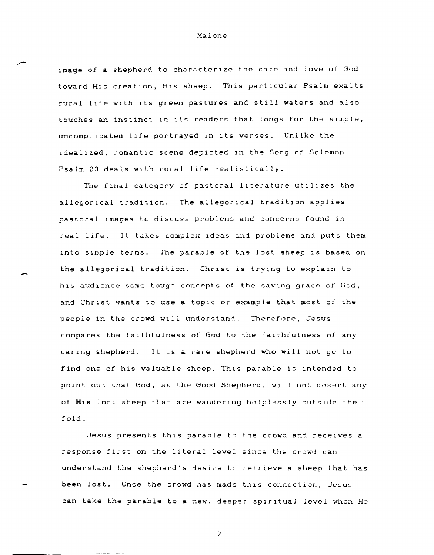image of a shepherd to characterize the care and love of God toward His creation, His sheep. This particular Psalm exalts rural life with its green pastures and still waters and also touches an instinct in Its readers that longs for the simple, umcomplicated life portrayed in its verses. Unlike the idealized, romantic scene depicted in the Song of Solomon, Psalm 23 deals with rural life realistically.

The final category of pastoral literature utilizes the allegorical tradition. The allegorical tradition applies pastoral images to discuss problems and concerns found In real life. It takes complex 1deas and problems and puts them into simple terms. The parable of the lost sheep is based on the allegorical tradition. Christ is trying to explain to his audience some tough concepts of the saving grace of God, and Christ wants to use a topic or example that most of the people in the crowd wIll understand. Therefore, Jesus compares the faithfulness of God to the faIthfulness of any caring shepherd. It is a rare shepherd who will not go to find one of his valuable sheep. This parable is intended to point out that God, as the Good Shepherd, will not desert any of **His** lost sheep that are wandering helplessly outsIde the fold.

Jesus presents this parable to the crowd and receives a response first on the literal level since the crowd can understand the shepherd's desire to retrieve a sheep that has been lost. Once the crowd has made this connection, Jesus can take the parable to a new, deeper spiritual level when He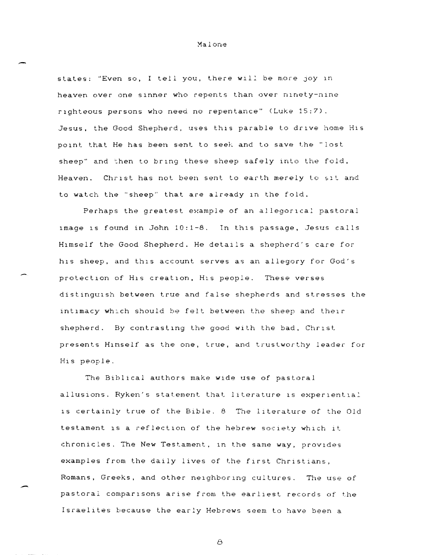states: "Even so, I tell you, there will be more joy in heaven over one sinner who repents than over ninety-nine righteous persons who need no repentance" (Luke 15:7). Jesus, the Good Shepherd, uses this parable to drive home His point that He has been sent to seek and to save the "lost sheep" and then to bring these sheep safely into the fold, Heaven. Christ has not been sent to earth merely to sit and to watch the "sheep" that are already in the fold.

Perhaps the greatest example of an allegorical pastoral 1mage 15 found in John 10:1-8. Tn th1S passage, Jesus calls H1mself the Good Shepherd. He details a shepherd's care for his sheep, and this account serves as an allegory for God's protection of His creation, His people. These verses distinguish between true and false shepherds and stresses the intimacy which should be felt between the sheep and their shepherd. By contrasting the good with the bad, Christ presents Himself as the one, true, and trustworthy leader for His people.

The Biblical authors make wide use of pastoral allusions. Ryken's statement that literature is experiential is certainly true of the Bible. 8 The literature of the Old testament is a reflection of the hebrew society which it chronicles. The New Testament, in the same way, provides examples from the daily lives of the first Christians, Romans, Greeks, and other neighboring cultures. The use of<br>pastoral comparisons arise from the earliest records of the Israelites because the early Hebrews seem to have been a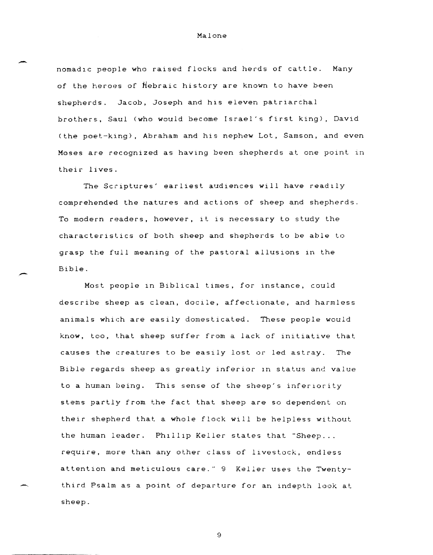-

-

 $\overline{\phantom{a}}$ 

nomad1C people who raised flocks and herds of cattle. Many of the heroes of Hebraic history are known to have been shepherds. Jacob, Joseph and his eleven patriarchal brothers, Saul (who would become Israel's first king), David (the poet-king), Abraham and his nephew Lot, Samson, and even Moses are recognized as having been shepherds at one point in their lives.

The Scriptures' earliest audiences will have readily comprehended the natures and actions of sheep and shepherds. To modern readers, however, 1t is necessary to study the characteristics of both sheep and shepherds to be able to grasp the full meaning of the pastoral allusions in the Bible.

Most people in Biblical times, for instance, could describe sheep as clean, docile, affectionate, and harmless animals which are easily domesticated. These people would know, too, that sheep suffer from a lack of 1nitiative that causes the creatures to be easily lost or led astray. The Bible regards sheep as greatly inferior In status and value to a human being. This sense of the sheep's inferiority stems partly from the fact that sheep are so dependent on their shepherd that a whole flock will be helpless without the human leader. Phillip Keller states that "Sheep... require, more than any other class of livestock, endless attention and meticulous care." 9 Keller uses the Twentythird Psalm as a point of departure for an indepth look at sheep.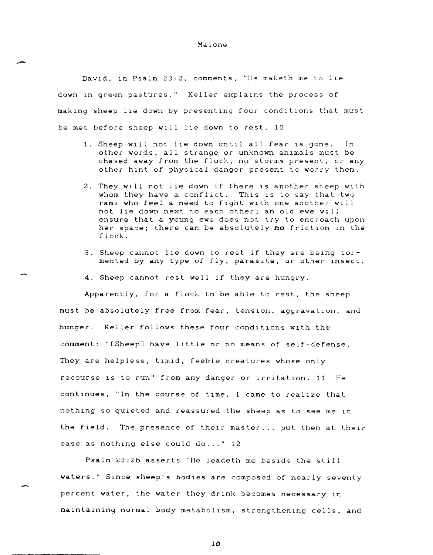David, in Psalm 23:2, comments, "He maketh me to lie down in green pastures." Keller explains the process of making sheep lie down by presenting four conditions that must be met before sheep wIll lie down to rest. 10

--

-

-

- 1. Sheep will not lie down until all fear is gone. In other words, all strange or unknown anImals must be chased away from the flock, no storms present, or any other hint of physical danger present to worry them.
- 2. They wIll not lIe down If there IS another sheep with whom they have a conflict. This is to say that two rams who feel a need to fight with one another will not lie down next to each other; an old ewe will ensure that a young ewe does not try to encroach upon her space; there can be absolutely **no** frictIon In the flock.
- 3. Sheep cannot lie down to rest if they are being tormented by any type of fly, parasite, or other insect.
- 4. Sheep cannot rest well if they are hungry.

Apparently, for a flock to be able to rest, the sheep must be absolutely free from fear, tension, aggravation, and hunger. Keller follows these four conditions with the comment: "[Sheep] have lIttle or no means of self-defense. They are helpless, timid, feeble creatures whose only recourse is to run" from any danger or irritation. 11 He continues, "In the course of time, I came to realize that nothing so quieted and reassured the sheep as to see me In the field. The presence of their master... put them at their ease as nothing else could do..." 12

Psalm 23:2b asserts "He leadeth me beside the still waters." Since sheep's bodies are composed of nearly seventy percent water, the water they drink becomes necessary in maintaining normal body metabolism, strengthening cells, and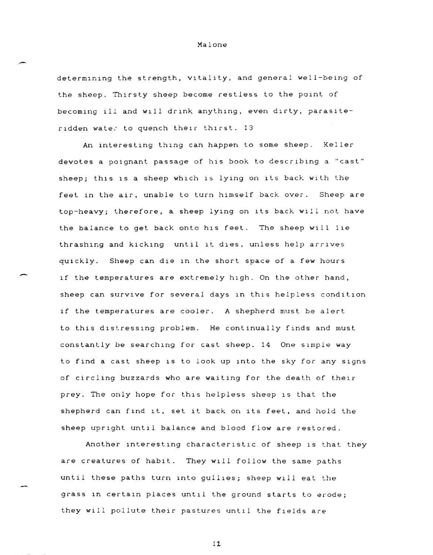determining the strength, vitality, and general well-being of the sheep. Thirsty sheep become restless to the point of becoming ill and will drink anything, even dirty, parasiteridden wates to quench their thirst. 13

Malone

,.-

-

-,

An interesting thing can happen to some sheep. Keller devotes a poignant passage of his book to describing a "cast" sheep; this is a sheep which is lying on its back with the feet in the air, unable to turn himself back over. Sheep are top-heavy; therefore, a sheep lYIng on Its back will not have the balance to get back onto his feet. The sheep will lie thrashing and kicking until it dies, unless help arrives quickly. Sheep can die in the short space of a few hours if the temperatures are extremely high. On the other hand, sheep can survive for several days in this helpless condition if the temperatures are cooler. A shepherd must be alert to this distressing problem. He continually finds and must constantly be searching for cast sheep. 14 One simple way to find a cast sheep IS to look up Into the sky for any signs of circling buzzards who are waiting for the death of their prey. The only hope for this helpless sheep is that the shepherd can flnd It, set it back on its feet, and hold the sheep upright until balance and blood flow are restored.

Another interesting characteristic of sheep is that they are creatures of habit. They will follow the same paths until these paths turn Into guilles; sheep WIll eat the grass in certain places until the ground starts to erode; they will pollute their pastures until the fields are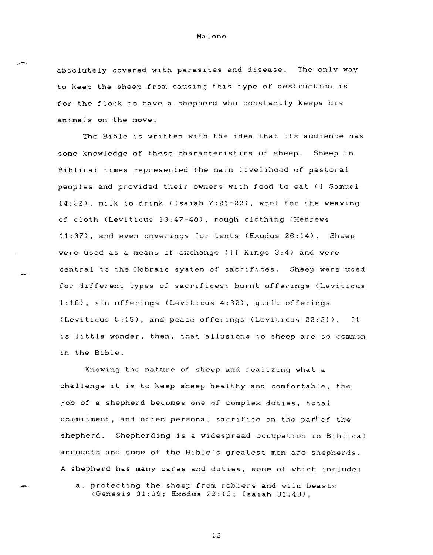absolutely covered with parasites and disease. The only way to keep the sheep from causing this type of destruction is for the flock to have a shepherd who constantly keeps his animals on the move.

The Bible IS written with the idea that its audience has some knowledge of these characteristics of sheep. Sheep in Biblical times represented the main livelihood of pastoral peoples and provided their owners with food to eat (I Samuel 14:32), milk to drink (Isaiah 7:21-22), wool for the weaving of cloth (Leviticus 13:47-48), rough clothing (Hebrews 11:37), and even coverings for tents (Exodus 26:14). Sheep were used as a means of exchange (II KIngs 3:4) and were central to the Hebraic system of sacrifices. Sheep were used for different types of sacrifices: burnt offerings (Leviticus 1:10), sin offerings (Leviticus 4:32), guilt offerings (Leviticus 5:15), and peace offerings (Leviticus 22:21). It is little wonder, then, that allusions to sheep are so common in the Bible.

Knowing the nature of sheep and realizing what a challenge It 1S to keep sheep healthy and comfortable, the job of a shepherd becomes one of complex duties, total commitment, and often personal sacrifice on the part of the shepherd. Shepherding is a widespread occupation in Biblical accounts and some of the Bible's greatest men are shepherds. A shepherd has many cares and duties, some of WhICh include:

a. protecting the sheep from robbers and wild beasts (Genesis 31:39; Exodus 22:13; Isaiah 31:40),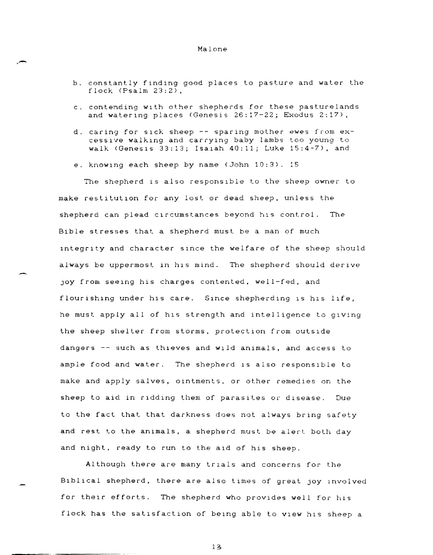- b. constantly finding good places to pasture and water the flock (Psalm 23:2),
- c. contending wIth other shepherds for these pasturelands and watering places (Genesis 26:17-22; Exodus 2:17),
- d. caring for sIck sheep -- sparing mother ewes from excessive walkIng and carrying baby lambs too young to walk (Genesis  $33:13$ ; Isaiah  $40:11$ ; Luke  $15:4-7$ ), and
- e. knowing each sheep by name (John 10:3). 15

,-

The shepherd is also responsIble to the sheep owner to make restitution for any lost or dead sheep, unless the shepherd can plead circumstances beyond his control. The Bible stresses that a shepherd must be a man of much integrity and character since the welfare of the sheep should always be uppermost in his mind. The shepherd should derive JOY from seeIng his charges contented, well-fed, and flourishing under his care. Since shepherding is his life, he must apply all of his strength and intelligence to giving the sheep shelter from storms, protection from outside dangers -- such as thieves and wild animals, and access to ample food and water. The shepherd is also responsible to make and apply salves, ointments, or other remedies on the sheep to aid in ridding them of parasites or dIsease. Due to the fact that that darkness does not always bring safety and rest to the animals, a shepherd must be alert both day and night, ready to run to the aid of his sheep.

Although there are many trials and concerns for the Biblical shepherd, there are also times of great joy lnvolved for their efforts. The shepherd who provides well for his flock has the satisfaction of being able to view his sheep a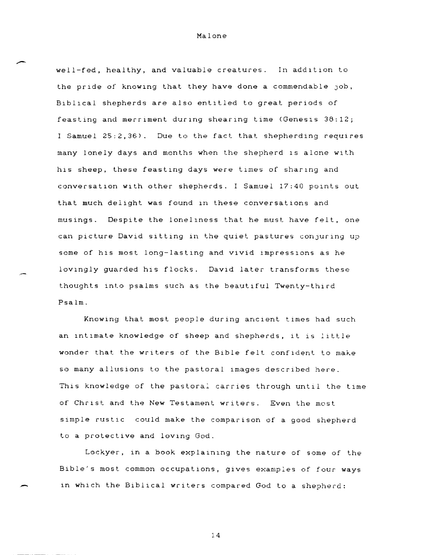well-fed, healthy, and valuable creatures. In addition to the pride of knowing that they have done a commendable job, Biblical shepherds are also entitled to great periods of feasting and merriment during shearing time (Genesis 38:12; I Samuel 25:2,36). Due to the fact that shepherding requires many lonely days and months when the shepherd IS alone with his sheep, these feasting days were times of sharing and conversation with other shepherds. I Samuel 17:40 points out that much delight was found in these conversations and musings. Despite the loneliness that he must have felt, one can picture David sitting in the quiet pastures conjuring up some of his most long-lasting and vivid impressions as he lovingly guarded his flocks. David later transforms these thoughts into psalms such as the beautiful Twenty-third Psalm.

Knowing that most people during ancient times had such an intimate knowledge of sheep and shepherds, it is little wonder that the writers of the Bible fell confident to make so many alluslons to the pastoral lmages described here. This knowledge of the pastoral carries through until the time of Christ and the New Testament writers. Even the most simple rustic could make the comparison of a good shepherd to a protective and loving God.

Lockyer, in a book explaining the nature of some of the Bible's most common occupations, gives examples of four ways in which the Biblical writers compared God to a shepherd: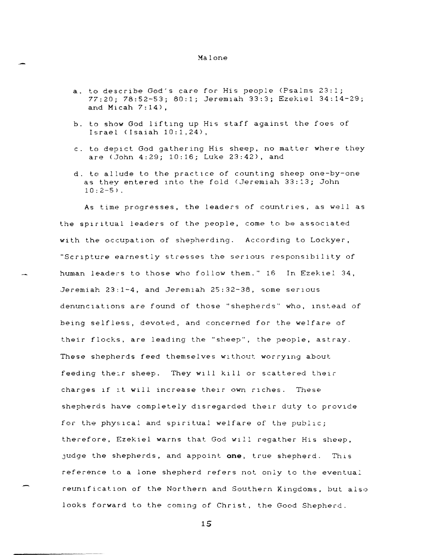- a. to describe God's care for His people (Psalms 23:1; 77:20; 78:52-53; 80:1; JeremIah 33:3; Ezekiel 34:14-29; and Micah  $7:14$ ),
- b. to show God liftIng up His staff against the foes of Israel (Isaiah 10:1,24),
- c. to depIct God gathering His sheep, no matter where they are (John 4:29; 10:16; Luke 23:42), and
- d. to allude to the practice of counting sheep one-by-one as they entered into the fold (Jeremiah 33:13; John  $10:2-5$ ).

As time progresses, the leaders of countries, as well as the spiritual leaders of the people, come to be associated with the occupation of shepherding. According to Lockyer, "Scripture earnestly stresses the serious responsibility of human leaders to those who follow them." 16 In Ezekiel 34, Jeremiah 23:1-4, and Jeremiah 25:32-38, some serious denunciations are found of those "shepherds" who, instead of being selfless, devoted, and concerned for the welfare of their flocks, are leading the "sheep", the people, astray. These shepherds feed themselves WIthout worrylng about feeding the:r sheep. They wlli kill or scattered their charges if it will increase their own riches. These shepherds have completely disregarded their duty to provide for the physical and spiritual welfare of the public; therefore, Ezekiel warns that God will regather His sheep, Judge the shepherds, and appoint **one,** true shepherd. ThiS reference to a lone shepherd refers not only to the eventual reunificatlon of the Northern and Southern Kingdoms, but also looks forward to the coming of Christ, the Good Shepherd.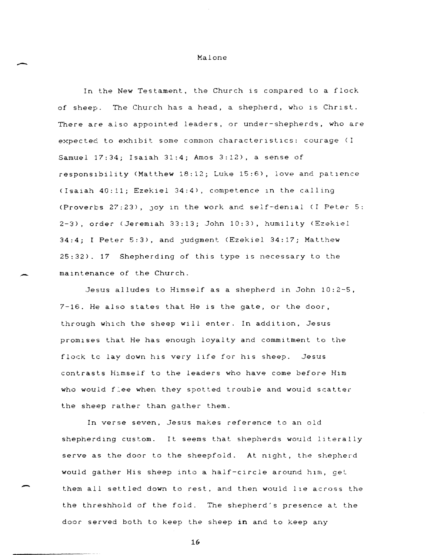In the New Testament, the Church is compared to a flock of sheep. The Church has a head, a shepherd, who is Christ. There are also appointed leaders, or under-shepherds, who are expected to exhibit some common characteristics: courage (I Samuel 17:34; Isaiah 31:4; Amos 3:12), a sense of responsibility (Matthew 18:12; Luke 15:6), love and patience (Isaiah 40:11; Ezekiel 34:4), competence In the calling (Proverbs 27:23), JOY 1n the work and self-den1al (I Peter 5: 2-3), order (Jeremiah 33:13; John 10:3), humility (Ezekiel 34:4; I Peter 5:3), and Judgment (Ezekiel 34:17; Matthew 25:32). 17 Shepherding of this type is necessary to the maintenance of the Church.

Jesus alludes to Himself as a shepherd In John 10:2-5,  $7-16$ . He also states that He is the gate, or the door, through which the sheep will enter. In addition, Jesus promises that He has enough loyalty and commitment to the flock to lay down his very life for his sheep. Jesus contrasts HImself to the leaders who have come before Him who would f:ee when they spotted trouble and would scatter the sheep rather than gather them.

In verse seven, Jesus makes reference to an old shepherding custom. It seems that shepherds would literally serve as the door to the sheepfold. At night, the shepherd would gather His sheep into a half-CIrcle around hIm, gel them all settled down to rest, and then would lle across the the threshhold of the fold. The shepherd's presence at the door served both to keep the sheep **in** and to keep any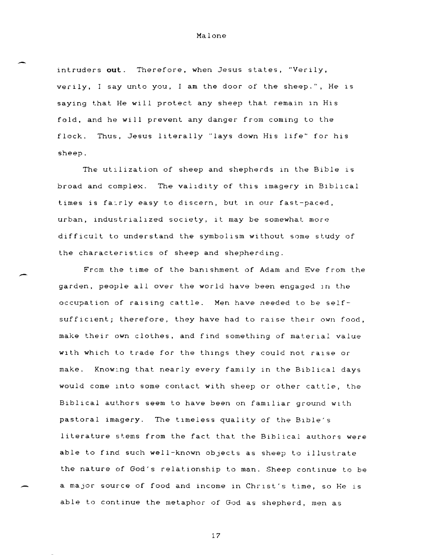intruders out. Therefore, when Jesus states, "Verily, verily, I say unto you, I am the door of the sheep.", He is saying that He will protect any sheep that remain in His fold, and he will prevent any danger from coming to the flock. Thus, Jesus literally "lays down His life" for his sheep.

-

-

The utilization of sheep and shepherds in the Bible is broad and complex. The validity of this imagery in Biblical times is fairly easy to discern, but in our fast-paced, urban, industrialized society, it may be somewhat more difficult to understand the symbolism without some study of the characteristics of sheep and shepherding.

From the time of the banishment of Adam and Eve from the garden, people all over the world have been engaged in the occupation of raising cattle. Men have needed to be selfsufficient; therefore, they have had to raise their own food, make their own clothes, and find something of material value with which to trade for the things they could not raise or make. Knowlng that nearly every family in the Biblical days would come Into some contact with sheep or other cattle, the Biblical authors seem to have been on familiar ground with pastoral imagery. The tImeless quality of the BIble's literature stems from the fact that the Biblical authors were able to find such well-known objects as sheep to illustrate the nature of God's relationship to man. Sheep continue to be a major source of food and income in Christ's time, so He is able to continue the metaphor of God as shepherd, men as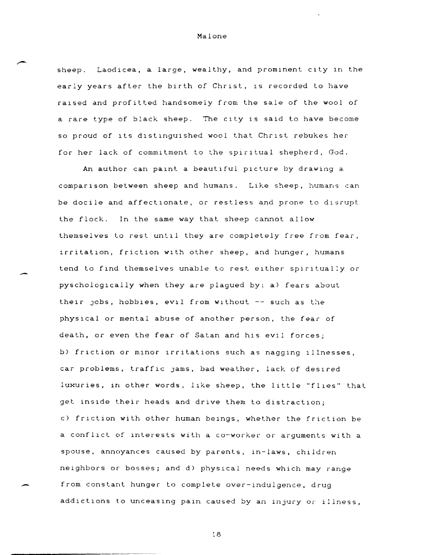sheep. Laodicea, a large, wealthy, and prominent city in the early years after the birth of Christ, is recorded to have raised and profitted handsomely from the sale of the wool of a rare type of black sheep. The CIty is said to have become so proud of its distinguished wool that Christ rebukes her for her lack of commitment to the spiritual shepherd, God.

An author can paint a beautiful picture by drawing a comparIson between sheep and humans. Like sheep, humans can be docile and affectionate, or restless and prone to disrupt the flock. In the same way that sheep cannot allow themselves to rest until they are completely free from fear, irritation, friction with other sheep, and hunger, humans tend to find themselves unable to rest either spiritually or pyschologlcally when they are plagued by: a) fears about their Jobs, hobbies, eVIl from without -- such as the physical or mental abuse of another person, the fear of death, or even the fear of Satan and his evil forces; b) friction or minor irritations such as nagging illnesses, car problems, traffic jams, bad weather, lack of desired luxuries, in other words, like sheep, the little "flies" that get inside their heads and drive them to distraction; c) friction with other human beings, whether the friction be a conflict of interests with a co-worker or arguments with a spouse, annoyances caused by parents, in-laws, children neighbors or bosses; and d) physical needs which may range from constant hunger to complete over-indulgence, drug addictions to unceasing pain caused by an injury or illness,

-

.-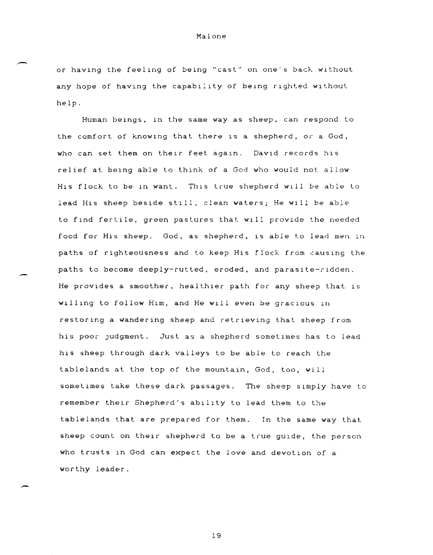or having the feeling of being "cast" on one's back wIthout any hope of having the capability of being righted without help.

Human beings, in the same way as sheep, can respond to the comfort of knowing that there is a shepherd, or a God, who can set them on their feet again. David records his relief at being able to think of a God who would not allow His flock to be in want. This true shepherd will be able Lo lead His sheep beside stIll, clean waters; He WIll be able to find fertile, green pastures that WIll provide the needed food for His sheep. God, as shepherd, is able to lead men 1n paths of righteousness and to keep His flock from causing the paths to become deeply-rutted, eroded, and parasite-ridden. He provides a smoother, healthier path for any sheep that is willing to follow Him, and He WIll even be gracious In restoring a wandering sheep and retrieving that sheep from his poor judgment. Just as a shepherd sometimes has to lead his sheep through dark valleys to be able to reach the tablelands at the top of the mountain, God, too, will sometimes take these dark passages. The sheep simply have to remember their Shepherd's ability to lead them to the tablelands that are prepared for them. In the same way that sheep count on their shepherd to be a true guide, the person who trusts In God can expect the love and devotion of a worthy leader.

-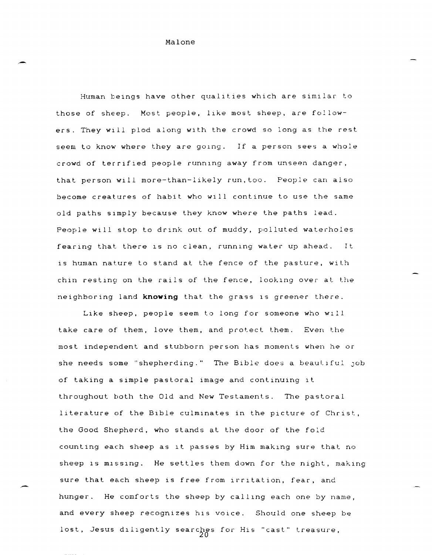-

,-

Human beings have other quallties which are similar to those of sheep. Most people, like most sheep, are followers. They will plod along wlth the crowd so long as the rest seem to know where they are gOlng. If a person sees a whole crowd of terrified people runnlng away from unseen danger, that person will more-than-likely run,too. People can also become creatures of habit who wlll continue to use the same old paths sImply because they know where the paths lead. People will stop to drink out of muddy, polluted waterholes fearing that there is no clean, running water up ahead. is human nature to stand at the fence of the pasture, with chin resting on the rails of the fence, looking over at the neighboring land **knowing** that the grass 15 greener there.

Like sheep. people seem to long for someone who wlil take care of them, love them, and protect them. Even the most independent and stubborn person has moments when he or she needs some "shepherding." The Bible does a beautiful job of taking a simple pastoral image and continuing it throughout both the Old and New Testaments. The pastoral literature of the Bible culminates in the picture of Christ, the Good Shepherd, who stands at the door of the fold counting each sheep as It passes by Him maklng sure that no sheep is missing. He settles them down for the night, making sure that each sheep is free from irritation, fear, and hunger. He comforts the sheep by calling each one by name, and every sheep recognizes his voice. Should one sheep be lost, Jesus diligently searches for His "cast" treasure,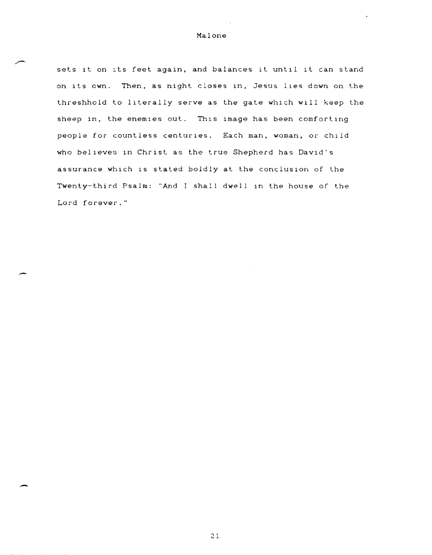.-

-

sets it on its feet again, and balances it until it can stand on its own. Then, as night closes in, Jesus lies down on the threshhold to literally serve as the gate which will keep the sheep in, the enemies out. This image has been comforting people for countless centuries. Each man, woman, or child who believes in Christ as the true Shepherd has David's assurance which is stated boldly at the conclusion of the Twenty-third Psalm: "And I shall dwell in the house of the Lord forever."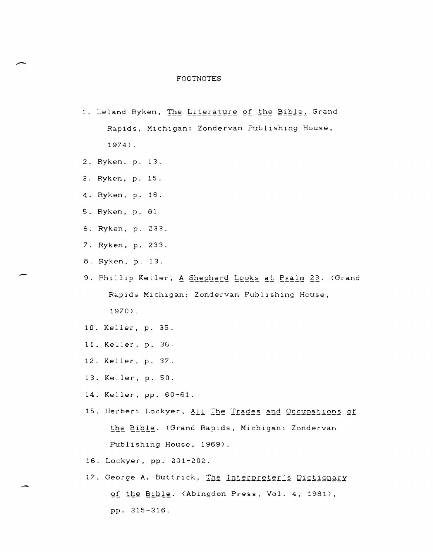# FOOTNOTES

- 1. Leland Ryken, The Literature of the Bible. Grand Rapids, Michigan: Zondervan Publishing House, 1974) .
- 2. Rykem, p. 13.
- 3. Rykem, p. 15.
- 4. Rykem, p. 16.
- 5. Ryken, p. 81
- 6. Rykem, p. 233.
- 7. Ryken, p. 233.
- 8. Ryken, p. 13.

-

,-

- 9. Phillip Keller, <u>A Shepherd Looks at Psalm 23</u>. (Grand RapIds MIchIgan: Zondervan Publishing House, 1970) .
- 10. Keller, p. 35.
- 11. Keller, p. 36.
- 12. Keller, p. 37.
- 13. Keller, p. 50.
- 14. Keller, pp. 60-61.
- 15. Herbert Lockyer, All The Trades and Occupations of the Bible. (Grand Rapids, Michigan: Zondervan Publishing House, 1969).
- 16. Lockyer, pp. 201-202.
- 17. George A. Buttrick, The Interpreter's Dictionary of the Bible. (Abingdon Press, Vol. 4, 1981), pp. 315 - 316.